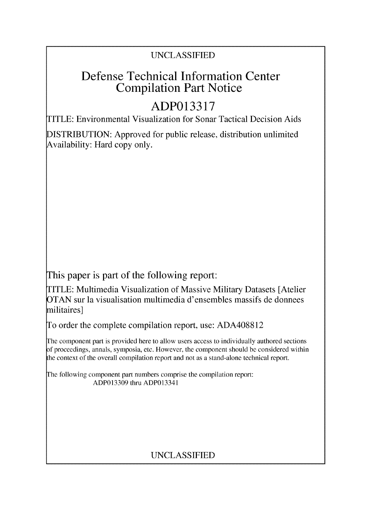### UNCLASSIFIED

# Defense Technical Information Center Compilation Part Notice

# **ADP013317**

TITLE: Environmental Visualization for Sonar Tactical Decision Aids

DISTRIBUTION: Approved for public release, distribution unlimited Availability: Hard copy only.

This paper is part of the following report:

TITLE: Multimedia Visualization of Massive Military Datasets [Atelier OTAN sur la visualisation multimedia d'ensembles massifs de donnees militaires]

To order the complete compilation report, use: ADA408812

The component part is provided here to allow users access to individually authored sections **)f** proceedings, annals, symposia, etc. However, the component should be considered within [he context of the overall compilation report and not as a stand-alone technical report.

The following component part numbers comprise the compilation report: ADP013309 thru ADP013341

### UNCLASSIFIED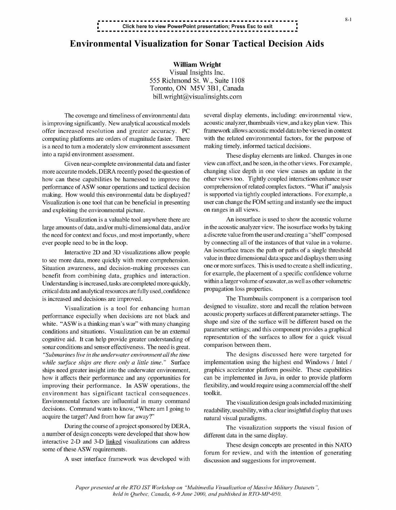## **\* Click** here to view PowerPoint presentation; Press Esc to exit **. .**

#### Environmental Visualization for Sonar Tactical Decision Aids

William Wright Visual Insights Inc. 555 Richmond St. W., Suite 1108 Toronto, ON M5V 3B1, Canada bill.wright@visualinsights.com

is improving significantly. New analytical acoustical models acoustic analyzer, thumbnails view, and a key plan view. This offer increased resolution and greater accuracy. PC framework allows acoustic model data to be viewed in context computing platforms are orders of magnitude faster. There with the related environmental factors, for the pur computing platforms are orders of magnitude faster. There is a need to turn a moderately slow environment assessment making timely, informed tactical decisions. into a rapid environment assessment. These display elements are linked. Changes in one

more accurate models, DERA recently posed the question of and exploiting the environmental picture.  $\blacksquare$  on ranges in all views.

the need for context and focus, and most importantly, where a discrete value from the user and creating a"shell" composed

Understanding is increased, tasks are completed more quickly, within a larger volume of sea<br>critical data and analytical resources are fully used confidence critical data and analytical resources are fully used, confidence is increased and decisions are improved. The Thumbnails component is a comparison tool

performance especially when decisions are not black and acoustic property surfaces at different parameter settings. The vehicle with  $\frac{1}{2}$  acts at thinking man's war" with many changing shape and size of the surface wi white. "ASW is a thinking man's war" with many changing shape and size of the surface will be different based on the conditions and situations. Visualization can be an external parameter settings; and this component provid conditions and situations. Visualization can be an external parameter settings; and this component provides a graphical<br>consitive sid. It can be a provide greater understanding of representation of the surfaces to allow fo cognitive aid. It can help provide greater understanding of representation of the surfaces to an a comparison between them. sonar conditions and sensor effectiveness. The need is great. *"Submarines live in the underwater environment all the time* The designs discussed here were targeted for *while surface ships are there only a little time."* Surface implementation using the highest end Windows / Intel **/** ships need greater insight into the underwater environment, graphics accelerator platform possible. These capabilities how it affects their performance and any opportunities for can be implemented in Java, in order to provide platform improving their performance. In ASW operations, the flexibility, and would require using a commercial off the shelf environment has significant tactical consequences. toolkit. Environmental factors are influential in many command The visualization design goals included maximizing decisions. Command wants to know, "Where am I going to readability, useability, with a clear insightful display that uses acquire the target? And from how far away?" natural visual paradigms.

a number of design concepts were developed that show how different data in the same display. interactive 2-D and 3-D linked visualizations can address These design concepts are presented in this **NATO**

The coverage and timeliness of environmental data several display elements, including: environmental view,

Given near-complete environmental data and faster view can affect, and be seen, in the other views. For example, curate models, DERA recently posed the question of changing slice depth in one view causes an update in the how can these capabilities be harnessed to improve the other views too. Tightly coupled interactions enhance user performance of ASW sonar operations and tactical decision comprehension of related complex factors. "What *if'* analysis making. How would this environmental data be displayed? is supported via tightly coupled interactions. For example, a Visualization is one tool that can be beneficial in presenting user can change the FOM setting and instantly see the impact

Visualization is a valuable tool anywhere there are  $\blacksquare$  An isosurface is used to show the acoustic volume large amounts of data, and/or multi-dimensional data, and/or in the acoustic analyzer view. The isosurface works by taking ever people need to be in the loop. by connecting all of the instances of that value in a volume. Interactive 2D and 3D visualizations allow people An isosurface traces the path or paths of a single threshold<br>
value in three dimensional data space and displays them using to see more data, more quickly with more comprehension. Value in three dimensional data space and displays them using<br>Situation awareness, and decision making processes can one or more surfaces. This is used to create a sh Situation awareness, and decision-making processes can one or more surfaces. This is used to create a shell indicating,<br>henefit from combining data, graphics and interaction for example, the placement of a specific confide benefit from combining data, graphics and interaction. For example, the placement of a specific confidence volume<br>Independing is increased tasks are completed more quickly within a larger volume of seawater, as well as oth

Visualization is a tool for enhancing human designed to visualize, store and recall the relation between<br>access at different parameter settings. The

During the course of a project sponsored by DERA, The visualization supports the visual fusion of

some of these ASW requirements.<br>forum for review, and with the intention of generating A user interface framework was developed with discussion and suggestions for improvement.